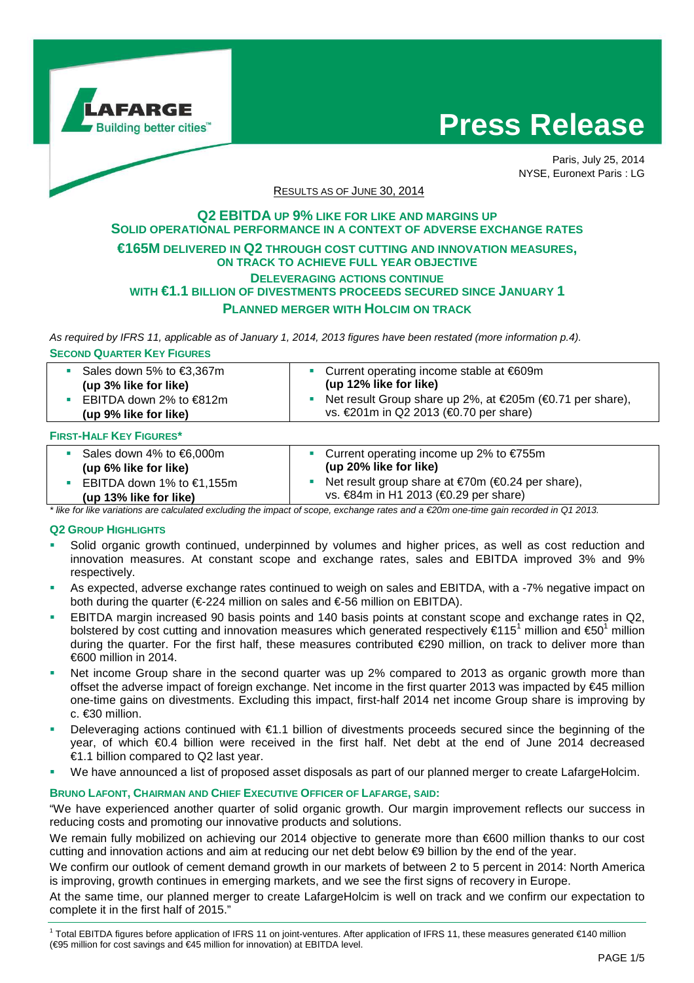

# **Press Release**



#### Paris, July 25, 2014 NYSE, Euronext Paris : LG

## RESULTS AS OF JUNE 30, 2014

# **Q2 EBITDA UP 9% LIKE FOR LIKE AND MARGINS UP SOLID OPERATIONAL PERFORMANCE IN A CONTEXT OF ADVERSE EXCHANGE RATES**

# **€165M DELIVERED IN Q2 THROUGH COST CUTTING AND INNOVATION MEASURES, ON TRACK TO ACHIEVE FULL YEAR OBJECTIVE**

## **DELEVERAGING ACTIONS CONTINUE WITH €1.1 BILLION OF DIVESTMENTS PROCEEDS SECURED SINCE JANUARY 1 PLANNED MERGER WITH HOLCIM ON TRACK**

As required by IFRS 11, applicable as of January 1, 2014, 2013 figures have been restated (more information p.4). **SECOND QUARTER KEY FIGURES**

| Sales down 5% to €3,367m<br>(up 3% like for like)<br>EBITDA down 2% to $\epsilon$ 812m<br>(up 9% like for like) | Current operating income stable at €609m<br>a.<br>(up 12% like for like)<br>Net result Group share up 2%, at €205m (€0.71 per share),<br>a.<br>vs. €201m in Q2 2013 (€0.70 per share) |  |
|-----------------------------------------------------------------------------------------------------------------|---------------------------------------------------------------------------------------------------------------------------------------------------------------------------------------|--|
| <b>FIRST-HALF KEY FIGURES*</b>                                                                                  |                                                                                                                                                                                       |  |
|                                                                                                                 |                                                                                                                                                                                       |  |

| Sales down 4% to €6,000m       | ■ Current operating income up 2% to $€755m$              |
|--------------------------------|----------------------------------------------------------|
| (up 6% like for like)          | (up 20% like for like)                                   |
| EBITDA down 1% to $\in$ 1,155m | ■ Net result group share at $€70m$ ( $€0.24$ per share), |
| (up 13% like for like)         | vs. €84m in H1 2013 (€0.29 per share)                    |

like for like variations are calculated excluding the impact of scope, exchange rates and a  $\epsilon$ 20m one-time gain recorded in Q1 2013.

# **Q2 GROUP HIGHLIGHTS**

- Solid organic growth continued, underpinned by volumes and higher prices, as well as cost reduction and innovation measures. At constant scope and exchange rates, sales and EBITDA improved 3% and 9% respectively.
- As expected, adverse exchange rates continued to weigh on sales and EBITDA, with a -7% negative impact on both during the quarter (€-224 million on sales and €-56 million on EBITDA).
- EBITDA margin increased 90 basis points and 140 basis points at constant scope and exchange rates in Q2, bolstered by cost cutting and innovation measures which generated respectively  $\in$ 115<sup>1</sup> million and  $\in$ 50<sup>1</sup> million during the quarter. For the first half, these measures contributed €290 million, on track to deliver more than €600 million in 2014.
- Net income Group share in the second quarter was up 2% compared to 2013 as organic growth more than offset the adverse impact of foreign exchange. Net income in the first quarter 2013 was impacted by €45 million one-time gains on divestments. Excluding this impact, first-half 2014 net income Group share is improving by c. €30 million.
- Deleveraging actions continued with €1.1 billion of divestments proceeds secured since the beginning of the year, of which €0.4 billion were received in the first half. Net debt at the end of June 2014 decreased €1.1 billion compared to Q2 last year.
- We have announced a list of proposed asset disposals as part of our planned merger to create LafargeHolcim.

# **BRUNO LAFONT, CHAIRMAN AND CHIEF EXECUTIVE OFFICER OF LAFARGE, SAID:**

"We have experienced another quarter of solid organic growth. Our margin improvement reflects our success in reducing costs and promoting our innovative products and solutions.

We remain fully mobilized on achieving our 2014 objective to generate more than €600 million thanks to our cost cutting and innovation actions and aim at reducing our net debt below €9 billion by the end of the year.

We confirm our outlook of cement demand growth in our markets of between 2 to 5 percent in 2014: North America is improving, growth continues in emerging markets, and we see the first signs of recovery in Europe.

At the same time, our planned merger to create LafargeHolcim is well on track and we confirm our expectation to complete it in the first half of 2015."

<sup>&</sup>lt;sup>1</sup> Total EBITDA figures before application of IFRS 11 on joint-ventures. After application of IFRS 11, these measures generated €140 million (€95 million for cost savings and €45 million for innovation) at EBITDA level.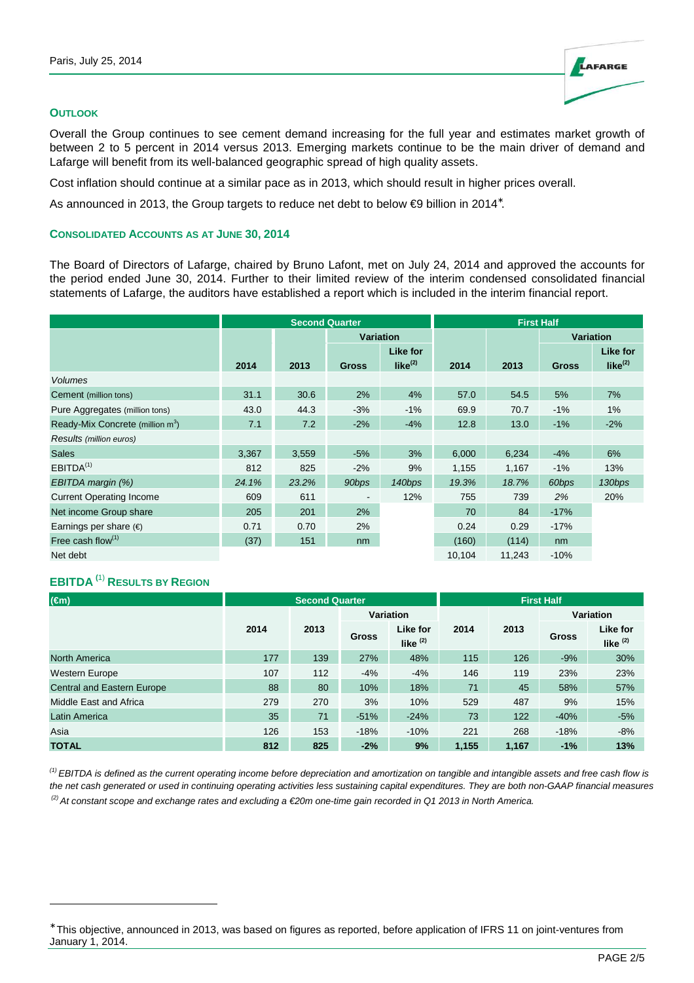

#### **OUTLOOK**

Overall the Group continues to see cement demand increasing for the full year and estimates market growth of between 2 to 5 percent in 2014 versus 2013. Emerging markets continue to be the main driver of demand and Lafarge will benefit from its well-balanced geographic spread of high quality assets.

Cost inflation should continue at a similar pace as in 2013, which should result in higher prices overall.

As announced in 2013, the Group targets to reduce net debt to below €9 billion in 2014<sup>\*</sup>.

#### **CONSOLIDATED ACCOUNTS AS AT JUNE 30, 2014**

The Board of Directors of Lafarge, chaired by Bruno Lafont, met on July 24, 2014 and approved the accounts for the period ended June 30, 2014. Further to their limited review of the interim condensed consolidated financial statements of Lafarge, the auditors have established a report which is included in the interim financial report.

|                                              | <b>Second Quarter</b> |       |                          | <b>First Half</b>         |        |        |                  |                           |
|----------------------------------------------|-----------------------|-------|--------------------------|---------------------------|--------|--------|------------------|---------------------------|
|                                              |                       |       | <b>Variation</b>         |                           |        |        | <b>Variation</b> |                           |
|                                              | 2014                  | 2013  | <b>Gross</b>             | Like for<br>like $^{(2)}$ | 2014   | 2013   | <b>Gross</b>     | Like for<br>like $^{(2)}$ |
| <b>Volumes</b>                               |                       |       |                          |                           |        |        |                  |                           |
| Cement (million tons)                        | 31.1                  | 30.6  | 2%                       | 4%                        | 57.0   | 54.5   | 5%               | 7%                        |
| Pure Aggregates (million tons)               | 43.0                  | 44.3  | $-3%$                    | $-1%$                     | 69.9   | 70.7   | $-1%$            | $1\%$                     |
| Ready-Mix Concrete (million m <sup>3</sup> ) | 7.1                   | 7.2   | $-2%$                    | $-4%$                     | 12.8   | 13.0   | $-1%$            | $-2%$                     |
| Results (million euros)                      |                       |       |                          |                           |        |        |                  |                           |
| <b>Sales</b>                                 | 3,367                 | 3,559 | $-5%$                    | 3%                        | 6,000  | 6,234  | $-4%$            | 6%                        |
| EBITDA <sup>(1)</sup>                        | 812                   | 825   | $-2%$                    | 9%                        | 1,155  | 1,167  | $-1%$            | 13%                       |
| EBITDA margin (%)                            | 24.1%                 | 23.2% | 90bps                    | 140bps                    | 19.3%  | 18.7%  | 60bps            | 130bps                    |
| <b>Current Operating Income</b>              | 609                   | 611   | $\overline{\phantom{a}}$ | 12%                       | 755    | 739    | 2%               | 20%                       |
| Net income Group share                       | 205                   | 201   | 2%                       |                           | 70     | 84     | $-17%$           |                           |
| Earnings per share $(\epsilon)$              | 0.71                  | 0.70  | 2%                       |                           | 0.24   | 0.29   | $-17%$           |                           |
| Free cash flow $(1)$                         | (37)                  | 151   | nm                       |                           | (160)  | (114)  | nm               |                           |
| Net debt                                     |                       |       |                          |                           | 10,104 | 11,243 | $-10%$           |                           |

# **EBITDA (**1) **RESULTS BY REGION**

l

| $(\epsilon m)$             |      | <b>Second Quarter</b> |              |                        | <b>First Half</b> |       |                  |                        |
|----------------------------|------|-----------------------|--------------|------------------------|-------------------|-------|------------------|------------------------|
|                            |      |                       | Variation    |                        |                   |       | <b>Variation</b> |                        |
|                            | 2014 | 2013                  | <b>Gross</b> | Like for<br>like $(2)$ | 2014              | 2013  | <b>Gross</b>     | Like for<br>like $(2)$ |
| <b>North America</b>       | 177  | 139                   | 27%          | 48%                    | 115               | 126   | $-9%$            | 30%                    |
| <b>Western Europe</b>      | 107  | 112                   | $-4%$        | $-4%$                  | 146               | 119   | 23%              | 23%                    |
| Central and Eastern Europe | 88   | 80                    | 10%          | 18%                    | 71                | 45    | 58%              | 57%                    |
| Middle East and Africa     | 279  | 270                   | 3%           | 10%                    | 529               | 487   | 9%               | 15%                    |
| Latin America              | 35   | 71                    | $-51%$       | $-24%$                 | 73                | 122   | $-40%$           | $-5%$                  |
| Asia                       | 126  | 153                   | $-18%$       | $-10%$                 | 221               | 268   | $-18%$           | $-8%$                  |
| <b>TOTAL</b>               | 812  | 825                   | $-2%$        | 9%                     | 1.155             | 1,167 | $-1%$            | 13%                    |

 $<sup>(1)</sup>$  EBITDA is defined as the current operating income before depreciation and amortization on tangible and intangible assets and free cash flow is</sup> the net cash generated or used in continuing operating activities less sustaining capital expenditures. They are both non-GAAP financial measures <sup>(2)</sup> At constant scope and exchange rates and excluding a €20m one-time gain recorded in Q1 2013 in North America.

<sup>∗</sup> This objective, announced in 2013, was based on figures as reported, before application of IFRS 11 on joint-ventures from January 1, 2014.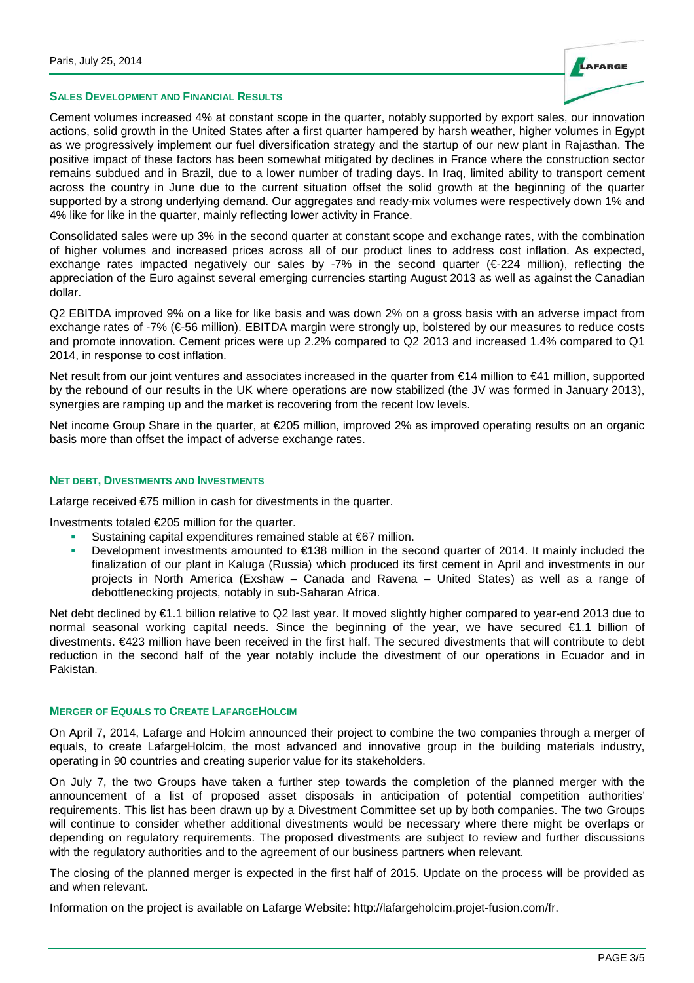

#### **SALES DEVELOPMENT AND FINANCIAL RESULTS**

Cement volumes increased 4% at constant scope in the quarter, notably supported by export sales, our innovation actions, solid growth in the United States after a first quarter hampered by harsh weather, higher volumes in Egypt as we progressively implement our fuel diversification strategy and the startup of our new plant in Rajasthan. The positive impact of these factors has been somewhat mitigated by declines in France where the construction sector remains subdued and in Brazil, due to a lower number of trading days. In Iraq, limited ability to transport cement across the country in June due to the current situation offset the solid growth at the beginning of the quarter supported by a strong underlying demand. Our aggregates and ready-mix volumes were respectively down 1% and 4% like for like in the quarter, mainly reflecting lower activity in France.

Consolidated sales were up 3% in the second quarter at constant scope and exchange rates, with the combination of higher volumes and increased prices across all of our product lines to address cost inflation. As expected, exchange rates impacted negatively our sales by -7% in the second quarter ( $\epsilon$ -224 million), reflecting the appreciation of the Euro against several emerging currencies starting August 2013 as well as against the Canadian dollar.

Q2 EBITDA improved 9% on a like for like basis and was down 2% on a gross basis with an adverse impact from exchange rates of -7% (€-56 million). EBITDA margin were strongly up, bolstered by our measures to reduce costs and promote innovation. Cement prices were up 2.2% compared to Q2 2013 and increased 1.4% compared to Q1 2014, in response to cost inflation.

Net result from our joint ventures and associates increased in the quarter from €14 million to €41 milion, supported by the rebound of our results in the UK where operations are now stabilized (the JV was formed in January 2013), synergies are ramping up and the market is recovering from the recent low levels.

Net income Group Share in the quarter, at €205 million, improved 2% as improved operating results on an organic basis more than offset the impact of adverse exchange rates.

#### **NET DEBT, DIVESTMENTS AND INVESTMENTS**

Lafarge received €75 million in cash for divestments in the quarter.

Investments totaled €205 million for the quarter.

- Sustaining capital expenditures remained stable at €67 million.
- Development investments amounted to €138 million in the second quarter of 2014. It mainly included the finalization of our plant in Kaluga (Russia) which produced its first cement in April and investments in our projects in North America (Exshaw – Canada and Ravena – United States) as well as a range of debottlenecking projects, notably in sub-Saharan Africa.

Net debt declined by €1.1 billion relative to Q2 last year. It moved slightly higher compared to year-end 2013 due to normal seasonal working capital needs. Since the beginning of the year, we have secured €1.1 billion of divestments. €423 million have been received in the first half. The secured divestments that will contribute to debt reduction in the second half of the year notably include the divestment of our operations in Ecuador and in Pakistan.

## **MERGER OF EQUALS TO CREATE LAFARGEHOLCIM**

On April 7, 2014, Lafarge and Holcim announced their project to combine the two companies through a merger of equals, to create LafargeHolcim, the most advanced and innovative group in the building materials industry, operating in 90 countries and creating superior value for its stakeholders.

On July 7, the two Groups have taken a further step towards the completion of the planned merger with the announcement of a list of proposed asset disposals in anticipation of potential competition authorities' requirements. This list has been drawn up by a Divestment Committee set up by both companies. The two Groups will continue to consider whether additional divestments would be necessary where there might be overlaps or depending on regulatory requirements. The proposed divestments are subject to review and further discussions with the regulatory authorities and to the agreement of our business partners when relevant.

The closing of the planned merger is expected in the first half of 2015. Update on the process will be provided as and when relevant.

Information on the project is available on Lafarge Website: http://lafargeholcim.projet-fusion.com/fr.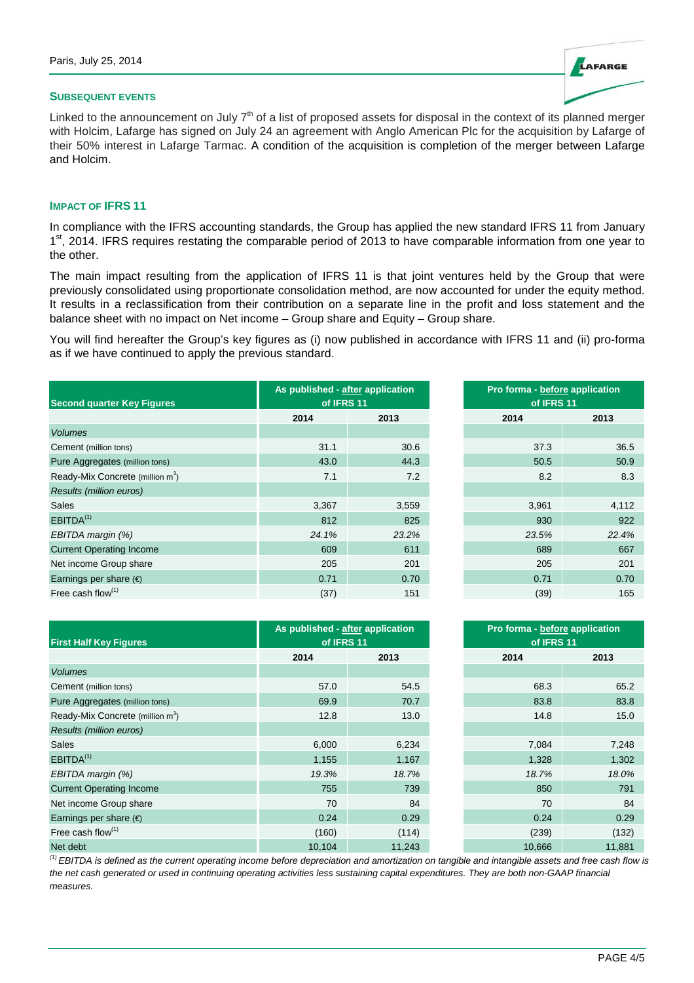#### **SUBSEQUENT EVENTS**

Linked to the announcement on July  $7<sup>th</sup>$  of a list of proposed assets for disposal in the context of its planned merger with Holcim, Lafarge has signed on July 24 an agreement with Anglo American Plc for the acquisition by Lafarge of their 50% interest in Lafarge Tarmac. A condition of the acquisition is completion of the merger between Lafarge and Holcim.

#### **IMPACT OF IFRS 11**

In compliance with the IFRS accounting standards, the Group has applied the new standard IFRS 11 from January 1<sup>st</sup>, 2014. IFRS requires restating the comparable period of 2013 to have comparable information from one year to the other.

The main impact resulting from the application of IFRS 11 is that joint ventures held by the Group that were previously consolidated using proportionate consolidation method, are now accounted for under the equity method. It results in a reclassification from their contribution on a separate line in the profit and loss statement and the balance sheet with no impact on Net income – Group share and Equity – Group share.

You will find hereafter the Group's key figures as (i) now published in accordance with IFRS 11 and (ii) pro-forma as if we have continued to apply the previous standard.

|                                              | As published - after application |       | Pro forma - before application<br>of IFRS 11 |       |  |
|----------------------------------------------|----------------------------------|-------|----------------------------------------------|-------|--|
| <b>Second quarter Key Figures</b>            | of IFRS 11<br>2014               | 2013  | 2014                                         | 2013  |  |
| <b>Volumes</b>                               |                                  |       |                                              |       |  |
| Cement (million tons)                        | 31.1                             | 30.6  | 37.3                                         | 36.5  |  |
| Pure Aggregates (million tons)               | 43.0                             | 44.3  | 50.5                                         | 50.9  |  |
| Ready-Mix Concrete (million m <sup>3</sup> ) | 7.1                              | 7.2   | 8.2                                          | 8.3   |  |
| Results (million euros)                      |                                  |       |                                              |       |  |
| <b>Sales</b>                                 | 3,367                            | 3,559 | 3,961                                        | 4,112 |  |
| EBITDA <sup>(1)</sup>                        | 812                              | 825   | 930                                          | 922   |  |
| EBITDA margin (%)                            | 24.1%                            | 23.2% | 23.5%                                        | 22.4% |  |
| <b>Current Operating Income</b>              | 609                              | 611   | 689                                          | 667   |  |
| Net income Group share                       | 205                              | 201   | 205                                          | 201   |  |
| Earnings per share $(\epsilon)$              | 0.71                             | 0.70  | 0.71                                         | 0.70  |  |
| Free cash flow $(1)$                         | (37)                             | 151   | (39)                                         | 165   |  |

| of IFRS 11 | oublished - after application | Pro forma - before application<br>of IFRS 11 |       |
|------------|-------------------------------|----------------------------------------------|-------|
| 2014       | 2013                          | 2014                                         | 2013  |
|            |                               |                                              |       |
| 31.1       | 30.6                          | 37.3                                         | 36.5  |
| 43.0       | 44.3                          | 50.5                                         | 50.9  |
| 7.1        | 7.2                           | 8.2                                          | 8.3   |
|            |                               |                                              |       |
| 3,367      | 3,559                         | 3,961                                        | 4,112 |
| 812        | 825                           | 930                                          | 922   |
| 24.1%      | 23.2%                         | 23.5%                                        | 22.4% |
| 609        | 611                           | 689                                          | 667   |
| 205        | 201                           | 205                                          | 201   |
| 0.71       | 0.70                          | 0.71                                         | 0.70  |
| (37)       | 151                           | (39)                                         | 165   |

LAFARGE

| <b>First Half Key Figures</b>                | As published - after application<br>of IFRS 11 |        | Pro forma - before application<br>of IFRS 11 |        |
|----------------------------------------------|------------------------------------------------|--------|----------------------------------------------|--------|
|                                              | 2014                                           | 2013   | 2014                                         | 2013   |
| <b>Volumes</b>                               |                                                |        |                                              |        |
| Cement (million tons)                        | 57.0                                           | 54.5   | 68.3                                         | 65.2   |
| Pure Aggregates (million tons)               | 69.9                                           | 70.7   | 83.8                                         | 83.8   |
| Ready-Mix Concrete (million m <sup>3</sup> ) | 12.8                                           | 13.0   | 14.8                                         | 15.0   |
| Results (million euros)                      |                                                |        |                                              |        |
| Sales                                        | 6,000                                          | 6,234  | 7,084                                        | 7,248  |
| EBITDA <sup>(1)</sup>                        | 1,155                                          | 1,167  | 1,328                                        | 1,302  |
| EBITDA margin (%)                            | 19.3%                                          | 18.7%  | 18.7%                                        | 18.0%  |
| <b>Current Operating Income</b>              | 755                                            | 739    | 850                                          | 791    |
| Net income Group share                       | 70                                             | 84     | 70                                           | 84     |
| Earnings per share $(\epsilon)$              | 0.24                                           | 0.29   | 0.24                                         | 0.29   |
| Free cash flow $(1)$                         | (160)                                          | (114)  | (239)                                        | (132)  |
| Net debt                                     | 10,104                                         | 11,243 | 10,666                                       | 11,881 |

 $^{(1)}$  EBITDA is defined as the current operating income before depreciation and amortization on tangible and intangible assets and free cash flow is the net cash generated or used in continuing operating activities less sustaining capital expenditures. They are both non-GAAP financial measures.